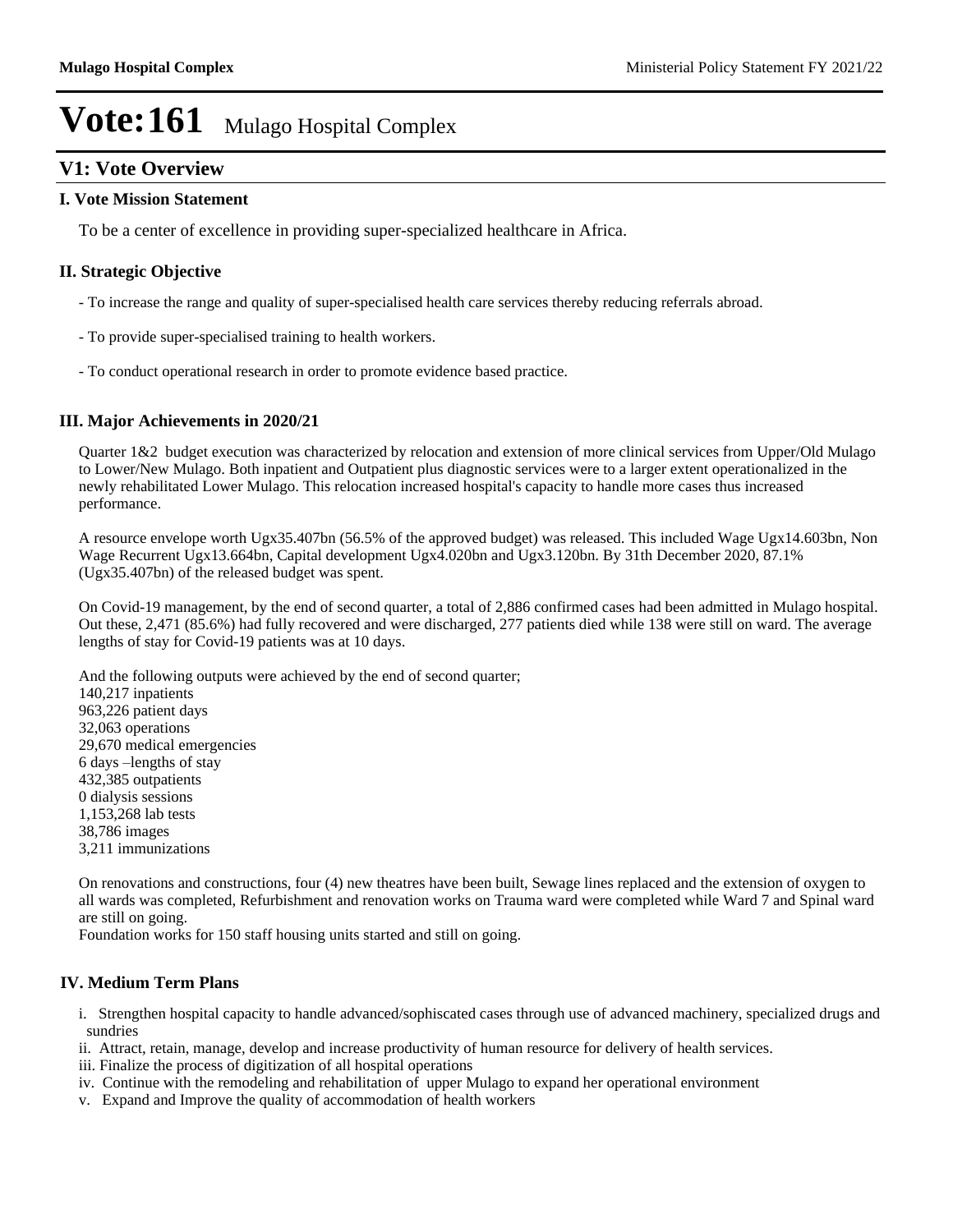## **V1: Vote Overview**

### **I. Vote Mission Statement**

To be a center of excellence in providing super-specialized healthcare in Africa.

### **II. Strategic Objective**

- To increase the range and quality of super-specialised health care services thereby reducing referrals abroad.
- To provide super-specialised training to health workers.
- To conduct operational research in order to promote evidence based practice.

### **III. Major Achievements in 2020/21**

Quarter 1&2 budget execution was characterized by relocation and extension of more clinical services from Upper/Old Mulago to Lower/New Mulago. Both inpatient and Outpatient plus diagnostic services were to a larger extent operationalized in the newly rehabilitated Lower Mulago. This relocation increased hospital's capacity to handle more cases thus increased performance.

A resource envelope worth Ugx35.407bn (56.5% of the approved budget) was released. This included Wage Ugx14.603bn, Non Wage Recurrent Ugx13.664bn, Capital development Ugx4.020bn and Ugx3.120bn. By 31th December 2020, 87.1% (Ugx35.407bn) of the released budget was spent.

On Covid-19 management, by the end of second quarter, a total of 2,886 confirmed cases had been admitted in Mulago hospital. Out these, 2,471 (85.6%) had fully recovered and were discharged, 277 patients died while 138 were still on ward. The average lengths of stay for Covid-19 patients was at 10 days.

And the following outputs were achieved by the end of second quarter; 140,217 inpatients 963,226 patient days 32,063 operations 29,670 medical emergencies 6 days -lengths of stay 432,385 outpatients 0 dialysis sessions 1,153,268 lab tests 38,786 images 3,211 immunizations

On renovations and constructions, four (4) new theatres have been built, Sewage lines replaced and the extension of oxygen to all wards was completed, Refurbishment and renovation works on Trauma ward were completed while Ward 7 and Spinal ward are still on going.

Foundation works for 150 staff housing units started and still on going.

### **IV. Medium Term Plans**

- i. Strengthen hospital capacity to handle advanced/sophiscated cases through use of advanced machinery, specialized drugs and sundries
- ii. Attract, retain, manage, develop and increase productivity of human resource for delivery of health services.
- iii. Finalize the process of digitization of all hospital operations
- iv. Continue with the remodeling and rehabilitation of upper Mulago to expand her operational environment
- v. Expand and Improve the quality of accommodation of health workers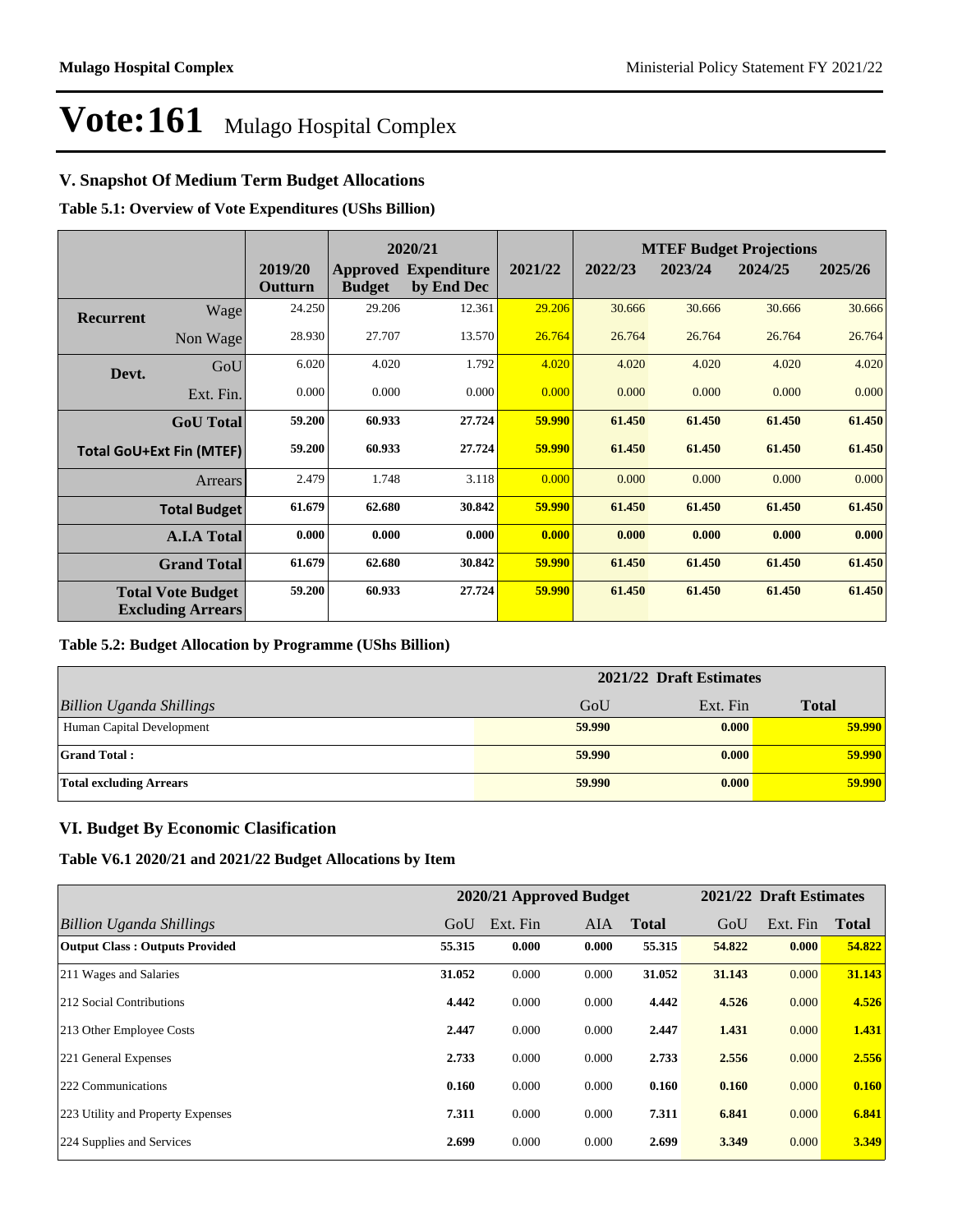## **V. Snapshot Of Medium Term Budget Allocations**

## **Table 5.1: Overview of Vote Expenditures (UShs Billion)**

|                  | 2020/21                                              |                    |               |                                           |         | <b>MTEF Budget Projections</b> |         |         |         |  |
|------------------|------------------------------------------------------|--------------------|---------------|-------------------------------------------|---------|--------------------------------|---------|---------|---------|--|
|                  |                                                      | 2019/20<br>Outturn | <b>Budget</b> | <b>Approved Expenditure</b><br>by End Dec | 2021/22 | 2022/23                        | 2023/24 | 2024/25 | 2025/26 |  |
| <b>Recurrent</b> | Wage                                                 | 24.250             | 29.206        | 12.361                                    | 29.206  | 30.666                         | 30.666  | 30.666  | 30.666  |  |
|                  | Non Wage                                             | 28.930             | 27.707        | 13.570                                    | 26.764  | 26.764                         | 26.764  | 26.764  | 26.764  |  |
| Devt.            | GoU                                                  | 6.020              | 4.020         | 1.792                                     | 4.020   | 4.020                          | 4.020   | 4.020   | 4.020   |  |
|                  | Ext. Fin.                                            | 0.000              | 0.000         | 0.000                                     | 0.000   | 0.000                          | 0.000   | 0.000   | 0.000   |  |
|                  | <b>GoU</b> Total                                     | 59.200             | 60.933        | 27.724                                    | 59.990  | 61.450                         | 61.450  | 61.450  | 61.450  |  |
|                  | <b>Total GoU+Ext Fin (MTEF)</b>                      | 59.200             | 60.933        | 27.724                                    | 59.990  | 61.450                         | 61.450  | 61.450  | 61.450  |  |
|                  | <b>Arrears</b>                                       | 2.479              | 1.748         | 3.118                                     | 0.000   | 0.000                          | 0.000   | 0.000   | 0.000   |  |
|                  | <b>Total Budget</b>                                  | 61.679             | 62.680        | 30.842                                    | 59.990  | 61.450                         | 61.450  | 61.450  | 61.450  |  |
|                  | <b>A.I.A Total</b>                                   | 0.000              | 0.000         | 0.000                                     | 0.000   | 0.000                          | 0.000   | 0.000   | 0.000   |  |
|                  | <b>Grand Total</b>                                   | 61.679             | 62.680        | 30.842                                    | 59.990  | 61.450                         | 61.450  | 61.450  | 61.450  |  |
|                  | <b>Total Vote Budget</b><br><b>Excluding Arrears</b> | 59.200             | 60.933        | 27.724                                    | 59.990  | 61.450                         | 61.450  | 61.450  | 61.450  |  |

### **Table 5.2: Budget Allocation by Programme (UShs Billion)**

|                                 | 2021/22 Draft Estimates |          |              |  |  |
|---------------------------------|-------------------------|----------|--------------|--|--|
| <b>Billion Uganda Shillings</b> | GoU                     | Ext. Fin | <b>Total</b> |  |  |
| Human Capital Development       | 59.990                  | 0.000    | 59.990       |  |  |
| <b>Grand Total:</b>             | 59.990                  | 0.000    | 59.990       |  |  |
| <b>Total excluding Arrears</b>  | 59.990                  | 0.000    | 59.990       |  |  |

## **VI. Budget By Economic Clasification**

**Table V6.1 2020/21 and 2021/22 Budget Allocations by Item**

|                                       |        | 2020/21 Approved Budget |            |              |        | 2021/22 Draft Estimates |              |
|---------------------------------------|--------|-------------------------|------------|--------------|--------|-------------------------|--------------|
| Billion Uganda Shillings              | GoU    | Ext. Fin                | <b>AIA</b> | <b>Total</b> | GoU    | Ext. Fin                | <b>Total</b> |
| <b>Output Class: Outputs Provided</b> | 55.315 | 0.000                   | 0.000      | 55.315       | 54.822 | 0.000                   | 54.822       |
| 211 Wages and Salaries                | 31.052 | 0.000                   | 0.000      | 31.052       | 31.143 | 0.000                   | 31.143       |
| 212 Social Contributions              | 4.442  | 0.000                   | 0.000      | 4.442        | 4.526  | 0.000                   | 4.526        |
| 213 Other Employee Costs              | 2.447  | 0.000                   | 0.000      | 2.447        | 1.431  | 0.000                   | 1.431        |
| 221 General Expenses                  | 2.733  | 0.000                   | 0.000      | 2.733        | 2.556  | 0.000                   | 2.556        |
| 222 Communications                    | 0.160  | 0.000                   | 0.000      | 0.160        | 0.160  | 0.000                   | 0.160        |
| 223 Utility and Property Expenses     | 7.311  | 0.000                   | 0.000      | 7.311        | 6.841  | 0.000                   | 6.841        |
| 224 Supplies and Services             | 2.699  | 0.000                   | 0.000      | 2.699        | 3.349  | 0.000                   | 3.349        |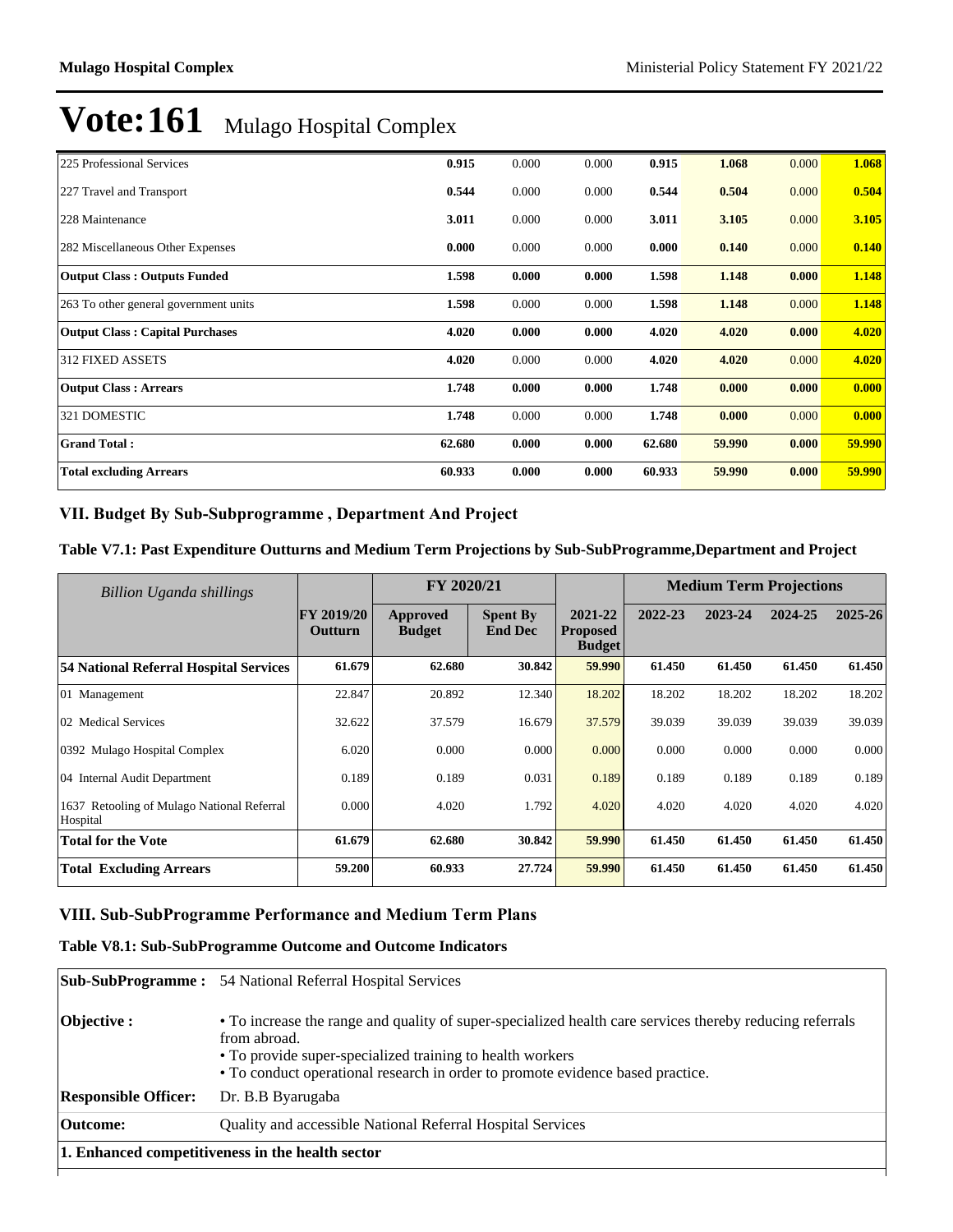| 225 Professional Services              | 0.915  | 0.000 | 0.000 | 0.915  | 1.068  | 0.000 | 1.068  |
|----------------------------------------|--------|-------|-------|--------|--------|-------|--------|
| 227 Travel and Transport               | 0.544  | 0.000 | 0.000 | 0.544  | 0.504  | 0.000 | 0.504  |
| 228 Maintenance                        | 3.011  | 0.000 | 0.000 | 3.011  | 3.105  | 0.000 | 3.105  |
| 282 Miscellaneous Other Expenses       | 0.000  | 0.000 | 0.000 | 0.000  | 0.140  | 0.000 | 0.140  |
| <b>Output Class: Outputs Funded</b>    | 1.598  | 0.000 | 0.000 | 1.598  | 1.148  | 0.000 | 1.148  |
| 263 To other general government units  | 1.598  | 0.000 | 0.000 | 1.598  | 1.148  | 0.000 | 1.148  |
| <b>Output Class: Capital Purchases</b> | 4.020  | 0.000 | 0.000 | 4.020  | 4.020  | 0.000 | 4.020  |
| <b>312 FIXED ASSETS</b>                | 4.020  | 0.000 | 0.000 | 4.020  | 4.020  | 0.000 | 4.020  |
| <b>Output Class: Arrears</b>           | 1.748  | 0.000 | 0.000 | 1.748  | 0.000  | 0.000 | 0.000  |
| 321 DOMESTIC                           | 1.748  | 0.000 | 0.000 | 1.748  | 0.000  | 0.000 | 0.000  |
| <b>Grand Total:</b>                    | 62.680 | 0.000 | 0.000 | 62.680 | 59.990 | 0.000 | 59.990 |
| <b>Total excluding Arrears</b>         | 60.933 | 0.000 | 0.000 | 60.933 | 59.990 | 0.000 | 59.990 |

## VII. Budget By Sub-Subprogramme, Department And Project

### **Table V7.1: Past Expenditure Outturns and Medium Term Projections by Sub-SubProgramme,Department and Project**

| <b>Billion Uganda shillings</b>                           |                              | FY 2020/21                |                                   | <b>Medium Term Projections</b>              |         |         |         |         |
|-----------------------------------------------------------|------------------------------|---------------------------|-----------------------------------|---------------------------------------------|---------|---------|---------|---------|
|                                                           | <b>FY 2019/20</b><br>Outturn | Approved<br><b>Budget</b> | <b>Spent By</b><br><b>End Dec</b> | 2021-22<br><b>Proposed</b><br><b>Budget</b> | 2022-23 | 2023-24 | 2024-25 | 2025-26 |
| 54 National Referral Hospital Services                    | 61.679                       | 62.680                    | 30.842                            | 59.990                                      | 61.450  | 61.450  | 61.450  | 61.450  |
| 01 Management                                             | 22.847                       | 20.892                    | 12.340                            | 18.202                                      | 18.202  | 18.202  | 18.202  | 18.202  |
| 02 Medical Services                                       | 32.622                       | 37.579                    | 16.679                            | 37.579                                      | 39.039  | 39.039  | 39.039  | 39.039  |
| 0392 Mulago Hospital Complex                              | 6.020                        | 0.000                     | 0.000                             | 0.000                                       | 0.000   | 0.000   | 0.000   | 0.000   |
| 04 Internal Audit Department                              | 0.189                        | 0.189                     | 0.031                             | 0.189                                       | 0.189   | 0.189   | 0.189   | 0.189   |
| Retooling of Mulago National Referral<br>1637<br>Hospital | 0.000                        | 4.020                     | 1.792                             | 4.020                                       | 4.020   | 4.020   | 4.020   | 4.020   |
| <b>Total for the Vote</b>                                 | 61.679                       | 62.680                    | 30.842                            | 59.990                                      | 61.450  | 61.450  | 61.450  | 61.450  |
| <b>Total Excluding Arrears</b>                            | 59.200                       | 60.933                    | 27.724                            | 59.990                                      | 61.450  | 61.450  | 61.450  | 61.450  |

## VIII. Sub-SubProgramme Performance and Medium Term Plans

### **Table V8.1: Sub-SubProgramme Outcome and Outcome Indicators**

|                                                  | <b>Sub-SubProgramme:</b> 54 National Referral Hospital Services                                                                                                                                                                                                         |  |  |  |  |
|--------------------------------------------------|-------------------------------------------------------------------------------------------------------------------------------------------------------------------------------------------------------------------------------------------------------------------------|--|--|--|--|
| Objective :                                      | • To increase the range and quality of super-specialized health care services thereby reducing referrals<br>from abroad.<br>• To provide super-specialized training to health workers<br>• To conduct operational research in order to promote evidence based practice. |  |  |  |  |
| <b>Responsible Officer:</b>                      | Dr. B.B Byarugaba                                                                                                                                                                                                                                                       |  |  |  |  |
| <b>Outcome:</b>                                  | Quality and accessible National Referral Hospital Services                                                                                                                                                                                                              |  |  |  |  |
| 1. Enhanced competitiveness in the health sector |                                                                                                                                                                                                                                                                         |  |  |  |  |
|                                                  |                                                                                                                                                                                                                                                                         |  |  |  |  |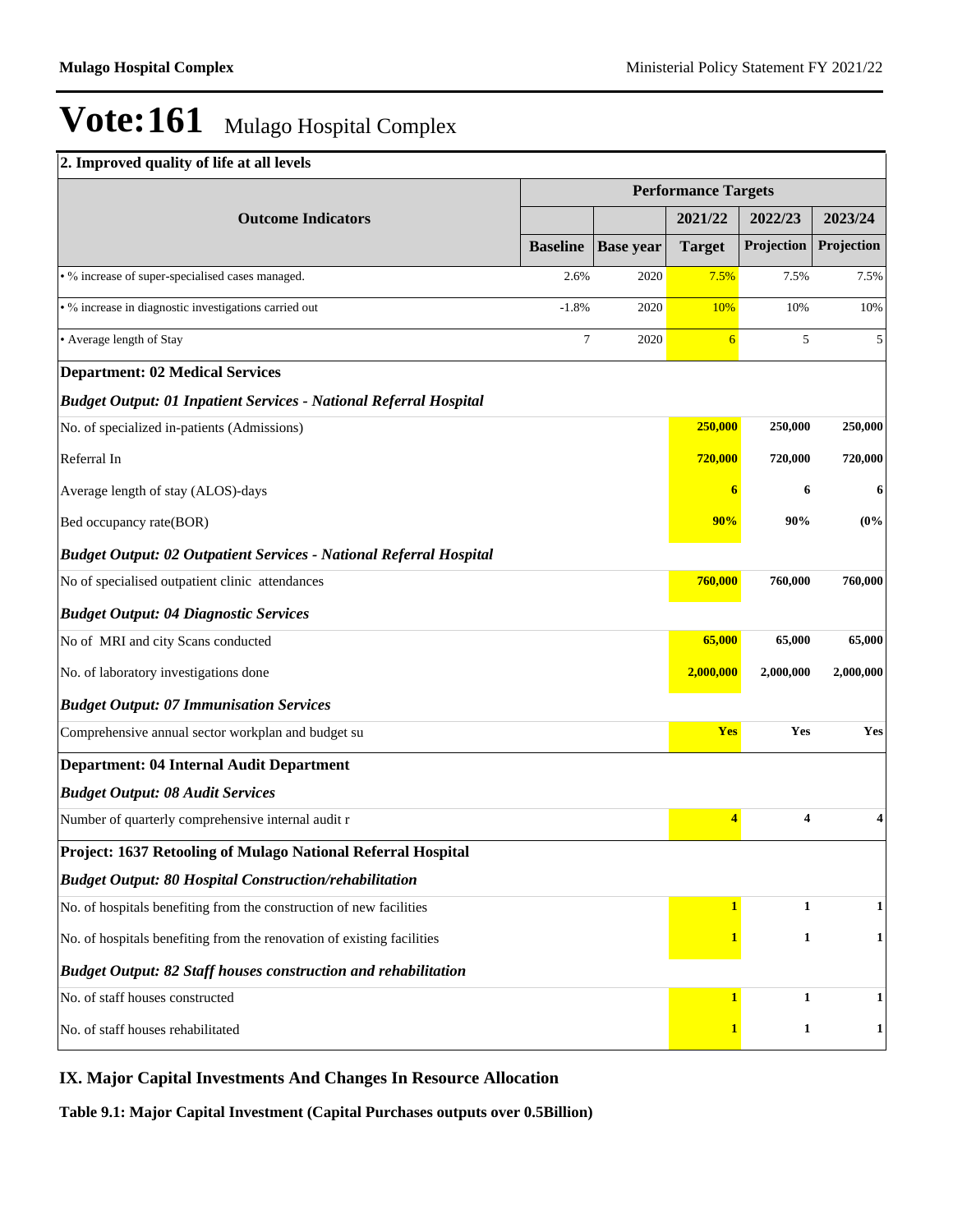## **2. Improved quality of life at all levels**

|                                                                           | <b>Performance Targets</b> |                  |                         |              |              |  |  |
|---------------------------------------------------------------------------|----------------------------|------------------|-------------------------|--------------|--------------|--|--|
| <b>Outcome Indicators</b>                                                 |                            |                  | 2021/22                 | 2022/23      | 2023/24      |  |  |
|                                                                           | <b>Baseline</b>            | <b>Base</b> year | <b>Target</b>           | Projection   | Projection   |  |  |
| • % increase of super-specialised cases managed.                          | 2.6%                       | 2020             | 7.5%                    | 7.5%         | 7.5%         |  |  |
| · % increase in diagnostic investigations carried out                     | $-1.8%$                    | 2020             | 10%                     | 10%          | 10%          |  |  |
| • Average length of Stay                                                  | $\overline{7}$             | 2020             | 6                       | 5            | 5            |  |  |
| <b>Department: 02 Medical Services</b>                                    |                            |                  |                         |              |              |  |  |
| <b>Budget Output: 01 Inpatient Services - National Referral Hospital</b>  |                            |                  |                         |              |              |  |  |
| No. of specialized in-patients (Admissions)                               |                            |                  | 250,000                 | 250,000      | 250,000      |  |  |
| Referral In                                                               |                            |                  | 720,000                 | 720,000      | 720,000      |  |  |
| Average length of stay (ALOS)-days                                        |                            |                  | 6                       | 6            | 6            |  |  |
| Bed occupancy rate(BOR)                                                   |                            |                  | 90%                     | 90%          | (0%          |  |  |
| <b>Budget Output: 02 Outpatient Services - National Referral Hospital</b> |                            |                  |                         |              |              |  |  |
| No of specialised outpatient clinic attendances                           |                            |                  | 760,000                 | 760,000      | 760,000      |  |  |
| <b>Budget Output: 04 Diagnostic Services</b>                              |                            |                  |                         |              |              |  |  |
| No of MRI and city Scans conducted                                        |                            |                  | 65,000                  | 65,000       | 65,000       |  |  |
| No. of laboratory investigations done                                     |                            |                  | 2,000,000               | 2,000,000    | 2,000,000    |  |  |
| <b>Budget Output: 07 Immunisation Services</b>                            |                            |                  |                         |              |              |  |  |
| Comprehensive annual sector workplan and budget su                        |                            |                  | Yes                     | Yes          | Yes          |  |  |
| <b>Department: 04 Internal Audit Department</b>                           |                            |                  |                         |              |              |  |  |
| <b>Budget Output: 08 Audit Services</b>                                   |                            |                  |                         |              |              |  |  |
| Number of quarterly comprehensive internal audit r                        |                            |                  | $\overline{\mathbf{4}}$ | 4            | 4            |  |  |
| Project: 1637 Retooling of Mulago National Referral Hospital              |                            |                  |                         |              |              |  |  |
| <b>Budget Output: 80 Hospital Construction/rehabilitation</b>             |                            |                  |                         |              |              |  |  |
| No. of hospitals benefiting from the construction of new facilities       |                            |                  | $\mathbf{1}$            | $\mathbf{1}$ | $\mathbf{1}$ |  |  |
| No. of hospitals benefiting from the renovation of existing facilities    |                            |                  | 1                       | $\mathbf{1}$ | $\mathbf{1}$ |  |  |
| <b>Budget Output: 82 Staff houses construction and rehabilitation</b>     |                            |                  |                         |              |              |  |  |
| No. of staff houses constructed                                           |                            |                  | $\mathbf{1}$            | $\mathbf{1}$ | $\mathbf{1}$ |  |  |
| No. of staff houses rehabilitated                                         |                            |                  | 1                       | $\mathbf{1}$ | $\mathbf{1}$ |  |  |

## **IX. Major Capital Investments And Changes In Resource Allocation**

**Table 9.1: Major Capital Investment (Capital Purchases outputs over 0.5Billion)**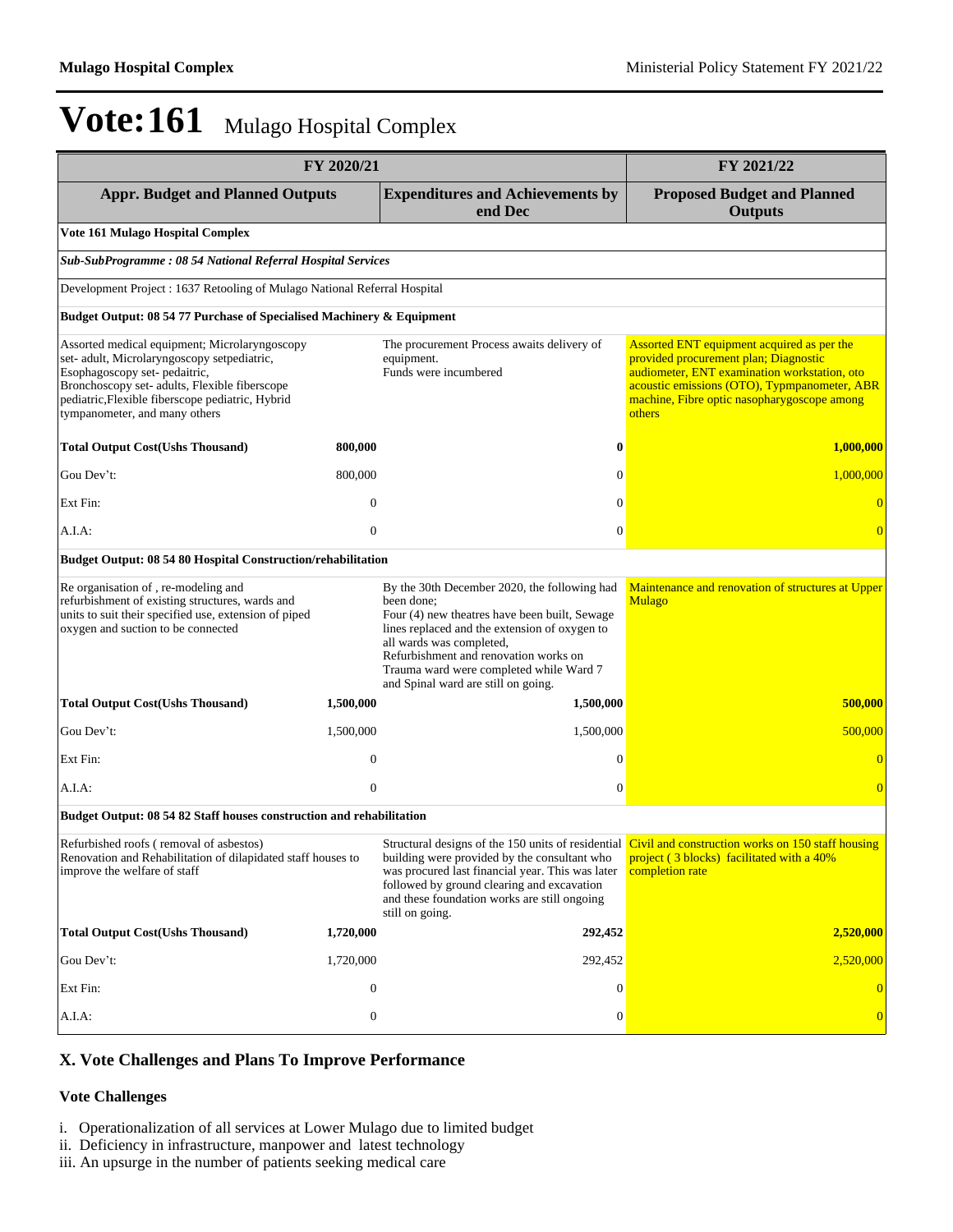| FY 2020/21                                                                                                                                                                                                                                                         | FY 2021/22       |                                                                                                                                                                                                                                                                                                                     |                                                                                                                                                                                                                                              |  |  |  |  |  |
|--------------------------------------------------------------------------------------------------------------------------------------------------------------------------------------------------------------------------------------------------------------------|------------------|---------------------------------------------------------------------------------------------------------------------------------------------------------------------------------------------------------------------------------------------------------------------------------------------------------------------|----------------------------------------------------------------------------------------------------------------------------------------------------------------------------------------------------------------------------------------------|--|--|--|--|--|
| <b>Appr. Budget and Planned Outputs</b>                                                                                                                                                                                                                            |                  | <b>Expenditures and Achievements by</b><br>end Dec                                                                                                                                                                                                                                                                  | <b>Proposed Budget and Planned</b><br><b>Outputs</b>                                                                                                                                                                                         |  |  |  |  |  |
| Vote 161 Mulago Hospital Complex                                                                                                                                                                                                                                   |                  |                                                                                                                                                                                                                                                                                                                     |                                                                                                                                                                                                                                              |  |  |  |  |  |
| Sub-SubProgramme: 08 54 National Referral Hospital Services                                                                                                                                                                                                        |                  |                                                                                                                                                                                                                                                                                                                     |                                                                                                                                                                                                                                              |  |  |  |  |  |
| Development Project : 1637 Retooling of Mulago National Referral Hospital                                                                                                                                                                                          |                  |                                                                                                                                                                                                                                                                                                                     |                                                                                                                                                                                                                                              |  |  |  |  |  |
| Budget Output: 08 54 77 Purchase of Specialised Machinery & Equipment                                                                                                                                                                                              |                  |                                                                                                                                                                                                                                                                                                                     |                                                                                                                                                                                                                                              |  |  |  |  |  |
| Assorted medical equipment; Microlaryngoscopy<br>set- adult, Microlaryngoscopy setpediatric,<br>Esophagoscopy set-pedaitric,<br>Bronchoscopy set- adults, Flexible fiberscope<br>pediatric, Flexible fiberscope pediatric, Hybrid<br>tympanometer, and many others |                  | The procurement Process awaits delivery of<br>equipment.<br>Funds were incumbered                                                                                                                                                                                                                                   | Assorted ENT equipment acquired as per the<br>provided procurement plan; Diagnostic<br>audiometer, ENT examination workstation, oto<br>acoustic emissions (OTO), Typmpanometer, ABR<br>machine, Fibre optic nasopharygoscope among<br>others |  |  |  |  |  |
| <b>Total Output Cost(Ushs Thousand)</b>                                                                                                                                                                                                                            | 800,000          | $\boldsymbol{0}$                                                                                                                                                                                                                                                                                                    | 1,000,000                                                                                                                                                                                                                                    |  |  |  |  |  |
| Gou Dev't:                                                                                                                                                                                                                                                         | 800,000          | $\mathbf{0}$                                                                                                                                                                                                                                                                                                        | 1,000,000                                                                                                                                                                                                                                    |  |  |  |  |  |
| Ext Fin:                                                                                                                                                                                                                                                           | $\mathbf{0}$     | $\mathbf{0}$                                                                                                                                                                                                                                                                                                        | $\overline{0}$                                                                                                                                                                                                                               |  |  |  |  |  |
| A.I.A:                                                                                                                                                                                                                                                             | $\mathbf{0}$     | $\mathbf{0}$                                                                                                                                                                                                                                                                                                        | $\overline{0}$                                                                                                                                                                                                                               |  |  |  |  |  |
| Budget Output: 08 54 80 Hospital Construction/rehabilitation                                                                                                                                                                                                       |                  |                                                                                                                                                                                                                                                                                                                     |                                                                                                                                                                                                                                              |  |  |  |  |  |
| Re organisation of, re-modeling and<br>refurbishment of existing structures, wards and<br>units to suit their specified use, extension of piped<br>oxygen and suction to be connected                                                                              |                  | By the 30th December 2020, the following had<br>been done;<br>Four (4) new theatres have been built, Sewage<br>lines replaced and the extension of oxygen to<br>all wards was completed,<br>Refurbishment and renovation works on<br>Trauma ward were completed while Ward 7<br>and Spinal ward are still on going. | Maintenance and renovation of structures at Upper<br><b>Mulago</b>                                                                                                                                                                           |  |  |  |  |  |
| <b>Total Output Cost(Ushs Thousand)</b>                                                                                                                                                                                                                            | 1,500,000        | 1,500,000                                                                                                                                                                                                                                                                                                           | 500,000                                                                                                                                                                                                                                      |  |  |  |  |  |
| Gou Dev't:                                                                                                                                                                                                                                                         | 1,500,000        | 1,500,000                                                                                                                                                                                                                                                                                                           | 500,000                                                                                                                                                                                                                                      |  |  |  |  |  |
| Ext Fin:                                                                                                                                                                                                                                                           | $\mathbf{0}$     | $\boldsymbol{0}$                                                                                                                                                                                                                                                                                                    |                                                                                                                                                                                                                                              |  |  |  |  |  |
| A.I.A:                                                                                                                                                                                                                                                             | $\mathbf{0}$     | $\overline{0}$                                                                                                                                                                                                                                                                                                      | $\overline{0}$                                                                                                                                                                                                                               |  |  |  |  |  |
| Budget Output: 08 54 82 Staff houses construction and rehabilitation                                                                                                                                                                                               |                  |                                                                                                                                                                                                                                                                                                                     |                                                                                                                                                                                                                                              |  |  |  |  |  |
| Refurbished roofs (removal of asbestos)<br>Renovation and Rehabilitation of dilapidated staff houses to<br>improve the welfare of staff                                                                                                                            |                  | building were provided by the consultant who<br>was procured last financial year. This was later<br>followed by ground clearing and excavation<br>and these foundation works are still ongoing<br>still on going.                                                                                                   | Structural designs of the 150 units of residential Civil and construction works on 150 staff housing<br>project (3 blocks) facilitated with a 40%<br>completion rate                                                                         |  |  |  |  |  |
| <b>Total Output Cost(Ushs Thousand)</b>                                                                                                                                                                                                                            | 1,720,000        | 292,452                                                                                                                                                                                                                                                                                                             | 2,520,000                                                                                                                                                                                                                                    |  |  |  |  |  |
| Gou Dev't:                                                                                                                                                                                                                                                         | 1,720,000        | 292,452                                                                                                                                                                                                                                                                                                             | 2,520,000                                                                                                                                                                                                                                    |  |  |  |  |  |
| Ext Fin:                                                                                                                                                                                                                                                           | $\boldsymbol{0}$ | $\mathbf{0}$                                                                                                                                                                                                                                                                                                        | $\overline{0}$                                                                                                                                                                                                                               |  |  |  |  |  |
| A.I.A:                                                                                                                                                                                                                                                             | $\boldsymbol{0}$ | $\boldsymbol{0}$                                                                                                                                                                                                                                                                                                    | $\overline{0}$                                                                                                                                                                                                                               |  |  |  |  |  |

## **X. Vote Challenges and Plans To Improve Performance**

### **Vote Challenges**

- i. Operationalization of all services at Lower Mulago due to limited budget
- ii. Deficiency in infrastructure, manpower and latest technology
- iii. An upsurge in the number of patients seeking medical care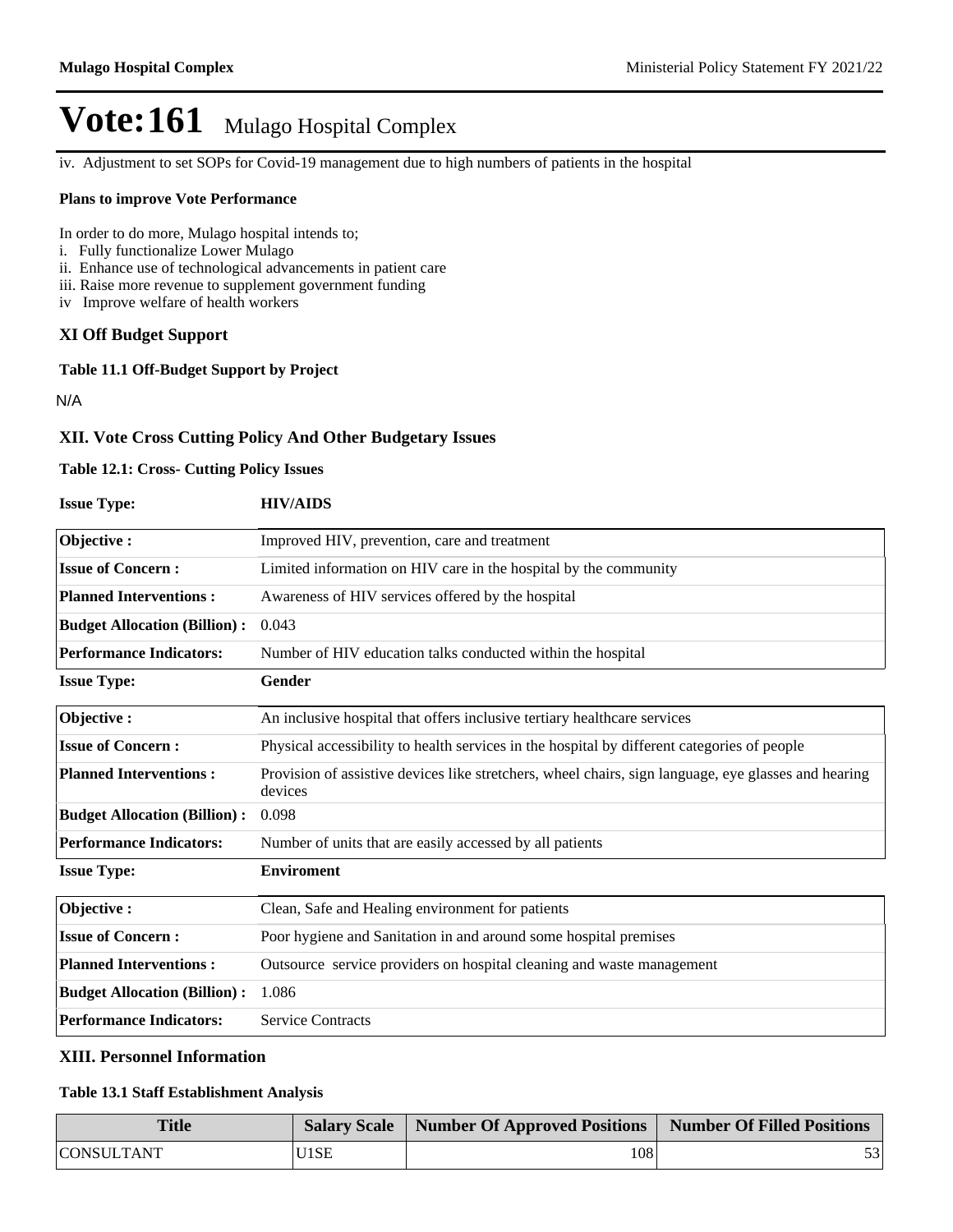iv. Adjustment to set SOPs for Covid-19 management due to high numbers of patients in the hospital

#### **Plans to improve Vote Performance**

In order to do more, Mulago hospital intends to;

- i. Fully functionalize Lower Mulago
- ii. Enhance use of technological advancements in patient care
- iii. Raise more revenue to supplement government funding
- iv Improve welfare of health workers

## **XI Off Budget Support**

**Table 11.1 Off-Budget Support by Project**

N/A

## **XII. Vote Cross Cutting Policy And Other Budgetary Issues**

### **Table 12.1: Cross- Cutting Policy Issues**

| <b>Issue Type:</b> | <b>HIV/AIDS</b> |
|--------------------|-----------------|
|                    |                 |

| Objective:                          | Improved HIV, prevention, care and treatment                                                                    |
|-------------------------------------|-----------------------------------------------------------------------------------------------------------------|
| <b>Issue of Concern:</b>            | Limited information on HIV care in the hospital by the community                                                |
| <b>Planned Interventions:</b>       | Awareness of HIV services offered by the hospital                                                               |
| <b>Budget Allocation (Billion):</b> | 0.043                                                                                                           |
| <b>Performance Indicators:</b>      | Number of HIV education talks conducted within the hospital                                                     |
| <b>Issue Type:</b>                  | Gender                                                                                                          |
| Objective:                          | An inclusive hospital that offers inclusive tertiary healthcare services                                        |
| <b>Issue of Concern:</b>            | Physical accessibility to health services in the hospital by different categories of people                     |
| <b>Planned Interventions:</b>       | Provision of assistive devices like stretchers, wheel chairs, sign language, eye glasses and hearing<br>devices |
| <b>Budget Allocation (Billion):</b> | 0.098                                                                                                           |
| <b>Performance Indicators:</b>      | Number of units that are easily accessed by all patients                                                        |
| <b>Issue Type:</b>                  | <b>Enviroment</b>                                                                                               |
| Objective:                          | Clean, Safe and Healing environment for patients                                                                |
| <b>Issue of Concern:</b>            | Poor hygiene and Sanitation in and around some hospital premises                                                |
| <b>Planned Interventions:</b>       | Outsource service providers on hospital cleaning and waste management                                           |
| <b>Budget Allocation (Billion):</b> | 1.086                                                                                                           |
| <b>Performance Indicators:</b>      | <b>Service Contracts</b>                                                                                        |

### **XIII. Personnel Information**

### **Table 13.1 Staff Establishment Analysis**

| <b>Title</b>      |      | Salary Scale   Number Of Approved Positions   Number Of Filled Positions |    |
|-------------------|------|--------------------------------------------------------------------------|----|
| <b>CONSULTANT</b> | U1SE | 108                                                                      | 53 |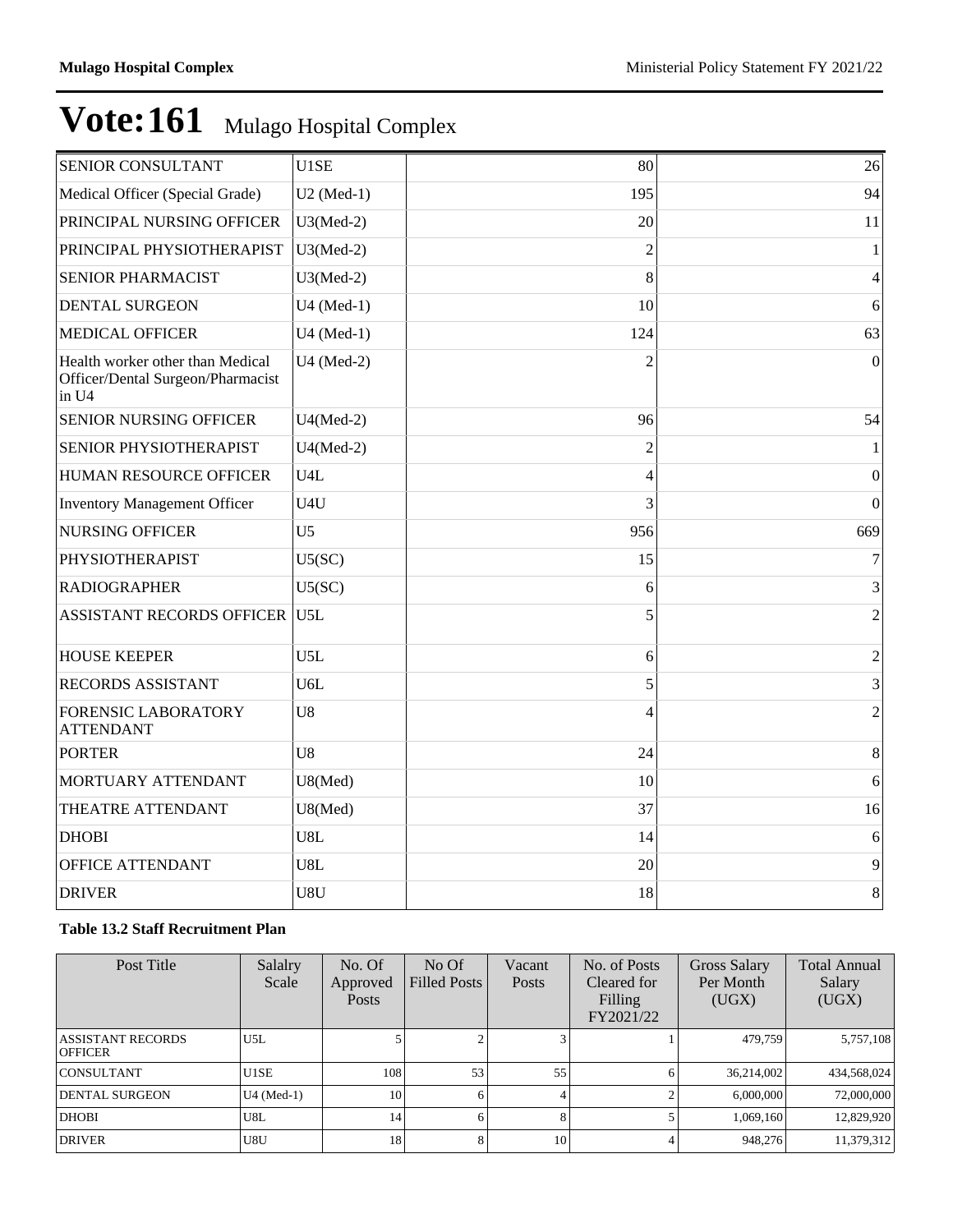| SENIOR CONSULTANT                                                              | U1SE           | 80             | 26               |
|--------------------------------------------------------------------------------|----------------|----------------|------------------|
| Medical Officer (Special Grade)                                                | $U2$ (Med-1)   | 195            | 94               |
| PRINCIPAL NURSING OFFICER                                                      | $U3(Med-2)$    | 20             | 11               |
| PRINCIPAL PHYSIOTHERAPIST                                                      | $U3(Med-2)$    | $\overline{2}$ | $\mathbf{1}$     |
| SENIOR PHARMACIST                                                              | $U3(Med-2)$    | 8              | $\overline{4}$   |
| <b>DENTAL SURGEON</b>                                                          | U4 (Med-1)     | 10             | 6                |
| <b>MEDICAL OFFICER</b>                                                         | U4 (Med-1)     | 124            | 63               |
| Health worker other than Medical<br>Officer/Dental Surgeon/Pharmacist<br>in U4 | U4 (Med-2)     | $\mathfrak{D}$ | $\overline{0}$   |
| <b>SENIOR NURSING OFFICER</b>                                                  | $U4(Med-2)$    | 96             | 54               |
| SENIOR PHYSIOTHERAPIST                                                         | $U4(Med-2)$    | $\overline{c}$ |                  |
| HUMAN RESOURCE OFFICER                                                         | U4L            | $\overline{4}$ | $\mathbf{0}$     |
| <b>Inventory Management Officer</b>                                            | U4U            | 3              | $\boldsymbol{0}$ |
| <b>NURSING OFFICER</b>                                                         | U <sub>5</sub> | 956            | 669              |
| PHYSIOTHERAPIST                                                                | U5(SC)         | 15             | 7                |
| <b>RADIOGRAPHER</b>                                                            | U5(SC)         | 6              | 3                |
| <b>ASSISTANT RECORDS OFFICER U5L</b>                                           |                | 5              | $\overline{2}$   |
| <b>HOUSE KEEPER</b>                                                            | U5L            | 6              | $\sqrt{2}$       |
| <b>RECORDS ASSISTANT</b>                                                       | U6L            | 5              | 3                |
| <b>FORENSIC LABORATORY</b><br><b>ATTENDANT</b>                                 | U <sub>8</sub> | 4              | $\overline{c}$   |
| <b>PORTER</b>                                                                  | U8             | 24             | $8\,$            |
| MORTUARY ATTENDANT                                                             | U8(Med)        | 10             | 6                |
| THEATRE ATTENDANT                                                              | U8(Med)        | 37             | 16               |
| <b>DHOBI</b>                                                                   | U8L            | 14             | 6                |
| OFFICE ATTENDANT                                                               | U8L            | 20             | 9                |
| <b>DRIVER</b>                                                                  | U8U            | 18             | 8                |

## **Table 13.2 Staff Recruitment Plan**

| Post Title                                 | Salalry<br>Scale | No. Of<br>Approved<br><b>Posts</b> | No Of<br><b>Filled Posts</b> | Vacant<br>Posts | No. of Posts<br>Cleared for<br>Filling<br>FY2021/22 | Gross Salary<br>Per Month<br>(UGX) | <b>Total Annual</b><br>Salary<br>(UGX) |
|--------------------------------------------|------------------|------------------------------------|------------------------------|-----------------|-----------------------------------------------------|------------------------------------|----------------------------------------|
| <b>ASSISTANT RECORDS</b><br><b>OFFICER</b> | U5L              |                                    |                              |                 |                                                     | 479.759                            | 5,757,108                              |
| <b>CONSULTANT</b>                          | U1SE             | 108                                | 53                           | 55              |                                                     | 36,214,002                         | 434,568,024                            |
| <b>DENTAL SURGEON</b>                      | $U4$ (Med-1)     | 10                                 |                              |                 |                                                     | 6,000,000                          | 72,000,000                             |
| <b>DHOBI</b>                               | U8L              | 14                                 | 6                            |                 |                                                     | 1,069,160                          | 12,829,920                             |
| <b>DRIVER</b>                              | U8U              | 18                                 |                              | 10              |                                                     | 948,276                            | 11,379,312                             |